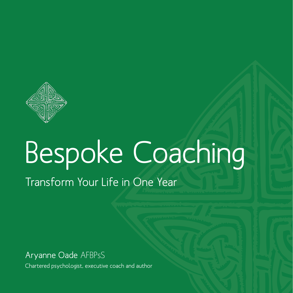

# Bespoke Coaching

Transform Your Life in One Year

Aryanne Oade AFBPsS

Chartered psychologist, executive coach and author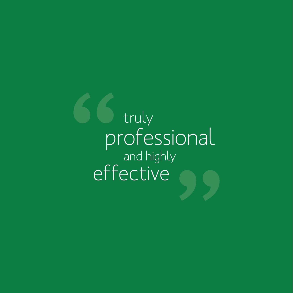truly professional and highly effective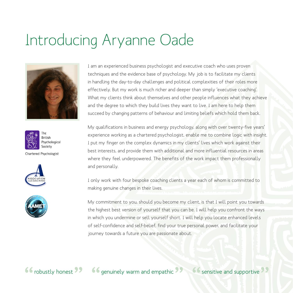### Introducing Aryanne Oade





Chartered Psychologist





I am an experienced business psychologist and executive coach who uses proven techniques and the evidence base of psychology. My job is to facilitate my clients in handling the day-to-day challenges and political complexities of their roles more effectively. But my work is much richer and deeper than simply 'executive coaching'. What my clients think about themselves and other people influences what they achieve and the degree to which they build lives they want to live. I am here to help them succeed by changing patterns of behaviour and limiting beliefs which hold them back.

My qualifications in business and energy psychology, along with over twenty-five years' experience working as a chartered psychologist, enable me to combine logic with insight. I put my finger on the complex dynamics in my clients' lives which work against their best interests, and provide them with additional and more influential resources in areas where they feel underpowered. The benefits of the work impact them professionally and personally.

I only work with four bespoke coaching clients a year each of whom is committed to making genuine changes in their lives.

My commitment to you, should you become my client, is that I will point you towards the highest best version of yourself that you can be. I will help you confront the ways in which you undermine or sell yourself short. I will help you locate enhanced levels of self-confidence and self-belief, find your true personal power, and facilitate your journey towards a future you are passionate about.

66 robustly honest 99 66 genuinely warm and empathic 99 66 sensitive and supportive 99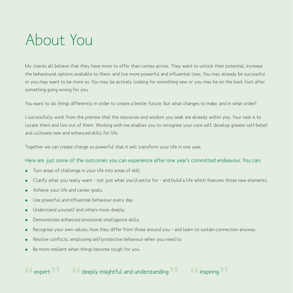# About You

My clients all believe that they have more to offer than comes across. They want to unlock their potential, increase the behavioural options available to them, and live more powerful and influential lives. You may already be successful or you may want to be more so. You may be actively looking for something new or you may be on the back foot after something going wrong for you.

You want to do things differently in order to create a better future. But what changes to make, and in what order?

I successfully work from the premise that the resources and wisdom you seek are already within you. Your task is to locate them and live out of them. Working with me enables you to recognise your core self, develop greater self-belief, and cultivate new and enhanced skills for life.

Together we can create change so powerful that it will transform your life in one year.

#### Here are just some of the outcomes you can experience after one year's committed endeavour. You can:

- Turn areas of challenge in your life into areas of skill.
- Clarify what you really want not just what you'd settle for and build a life which features those new elements.
- Achieve your life and career goals.
- Use powerful and influential behaviour every day.
- $\rightarrow$  Understand yourself and others more deeply.
- Demonstrate enhanced emotional intelligence skills.
- Recognise your own values, how they differ from those around you and learn to sustain connection anyway.
- Resolve conflicts, employing self-protective behaviour when you need to.
- Be more resilient when things become tough for you.



66 expert 22 and 66 deeply insightful and understanding 22 and 66 inspiring 22

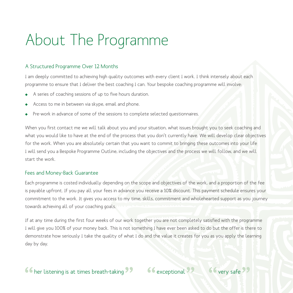## About The Programme

#### A Structured Programme Over 12 Months

I am deeply committed to achieving high quality outcomes with every client I work. I think intensely about each programme to ensure that I deliver the best coaching I can. Your bespoke coaching programme will involve:

- A series of coaching sessions of up to five hours duration.
- Access to me in between via skype, email and phone.
- Pre-work in advance of some of the sessions to complete selected questionnaires.

When you first contact me we will talk about you and your situation, what issues brought you to seek coaching and what you would like to have at the end of the process that you don't currently have. We will develop clear objectives for the work. When you are absolutely certain that you want to commit to bringing these outcomes into your life I will send you a Bespoke Programme Outline, including the objectives and the process we will follow, and we will start the work.

#### Fees and Money-Back Guarantee

Each programme is costed individually depending on the scope and objectives of the work, and a proportion of the fee is payable upfront. If you pay all your fees in advance you receive a 10% discount. This payment schedule ensures your commitment to the work. It gives you access to my time, skills, commitment and wholehearted support as you journey towards achieving all of your coaching goals.

If at any time during the first four weeks of our work together you are not completely satisfied with the programme I will give you 100% of your money back. This is not something I have ever been asked to do but the offer is there to demonstrate how seriously I take the quality of what I do and the value it creates for you as you apply the learning day by day.

### 66 her listening is at times breath-taking 99 66 exceptional 99 66 very safe 99

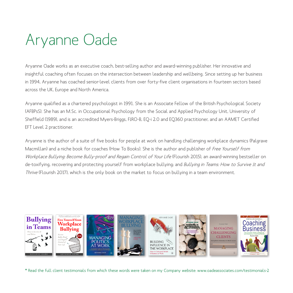## Aryanne Oade

Aryanne Oade works as an executive coach, best-selling author and award-winning publisher. Her innovative and insightful coaching often focuses on the intersection between leadership and wellbeing. Since setting up her business in 1994, Aryanne has coached senior-level clients from over forty-five client organisations in fourteen sectors based across the UK, Europe and North America.

Aryanne qualified as a chartered psychologist in 1991. She is an Associate Fellow of the British Psychological Society (AFBPsS). She has an M.Sc. in Occupational Psychology from the Social and Applied Psychology Unit, University of Sheffield (1989), and is an accredited Myers-Briggs, FIRO-B, EQ-i 2.0 and EQ360 practitioner, and an AAMET Certified EFT Level 2 practitioner.

Aryanne is the author of a suite of five books for people at work on handling challenging workplace dynamics (Palgrave Macmillan) and a niche book for coaches (How To Books). She is the author and publisher of Free Yourself from Workplace Bullying: Become Bully-proof and Regain Control of Your Life (Flourish 2015), an award-winning bestseller on de-toxifying, recovering and protecting yourself from workplace bullying; and Bullying in Teams: How to Survive It and Thrive (Flourish 2017), which is the only book on the market to focus on bullying in a team environment.



\* Read the full client testimonials from which these words were taken on my Company website: www.oadeassociates.com/testimonials-2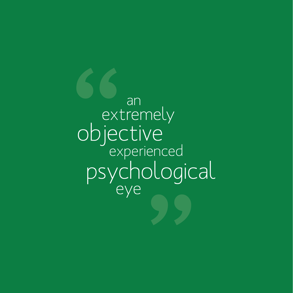an eye extremely objective<br>experienced psychological